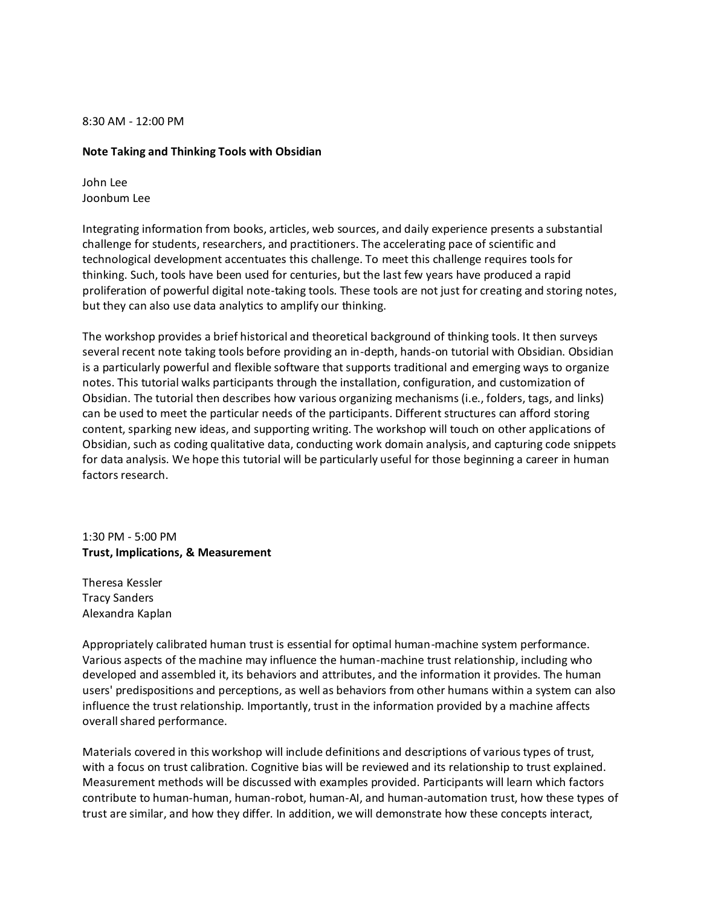8:30 AM - 12:00 PM

### **Note Taking and Thinking Tools with Obsidian**

John Lee Joonbum Lee

Integrating information from books, articles, web sources, and daily experience presents a substantial challenge for students, researchers, and practitioners. The accelerating pace of scientific and technological development accentuates this challenge. To meet this challenge requires tools for thinking. Such, tools have been used for centuries, but the last few years have produced a rapid proliferation of powerful digital note-taking tools. These tools are not just for creating and storing notes, but they can also use data analytics to amplify our thinking.

The workshop provides a brief historical and theoretical background of thinking tools. It then surveys several recent note taking tools before providing an in-depth, hands-on tutorial with Obsidian. Obsidian is a particularly powerful and flexible software that supports traditional and emerging ways to organize notes. This tutorial walks participants through the installation, configuration, and customization of Obsidian. The tutorial then describes how various organizing mechanisms (i.e., folders, tags, and links) can be used to meet the particular needs of the participants. Different structures can afford storing content, sparking new ideas, and supporting writing. The workshop will touch on other applications of Obsidian, such as coding qualitative data, conducting work domain analysis, and capturing code snippets for data analysis. We hope this tutorial will be particularly useful for those beginning a career in human factors research.

## 1:30 PM - 5:00 PM **Trust, Implications, & Measurement**

Theresa Kessler Tracy Sanders Alexandra Kaplan

Appropriately calibrated human trust is essential for optimal human-machine system performance. Various aspects of the machine may influence the human-machine trust relationship, including who developed and assembled it, its behaviors and attributes, and the information it provides. The human users' predispositions and perceptions, as well as behaviors from other humans within a system can also influence the trust relationship. Importantly, trust in the information provided by a machine affects overall shared performance.

Materials covered in this workshop will include definitions and descriptions of various types of trust, with a focus on trust calibration. Cognitive bias will be reviewed and its relationship to trust explained. Measurement methods will be discussed with examples provided. Participants will learn which factors contribute to human-human, human-robot, human-AI, and human-automation trust, how these types of trust are similar, and how they differ. In addition, we will demonstrate how these concepts interact,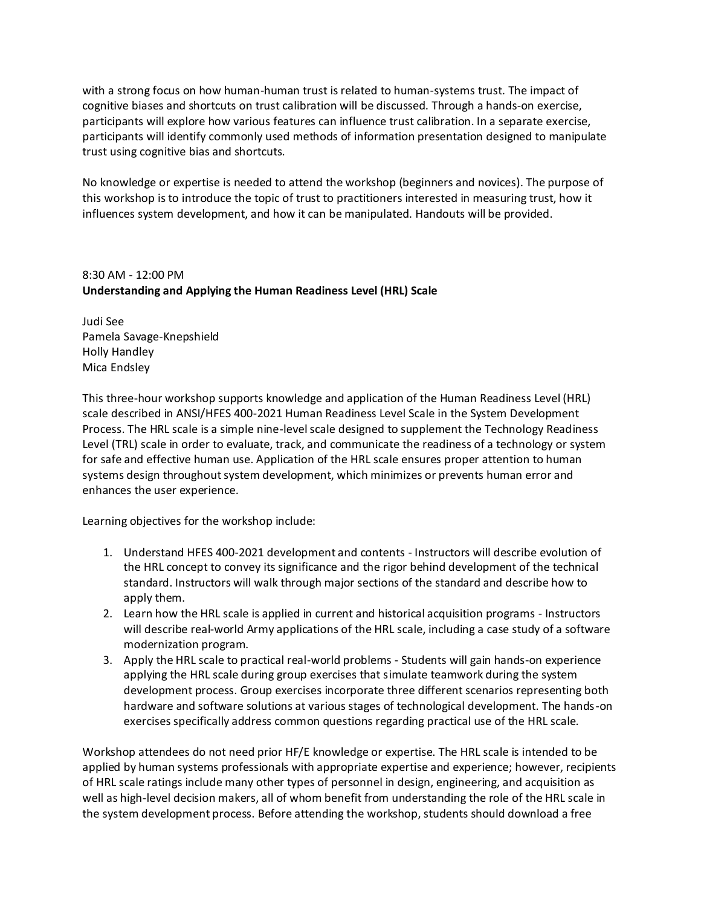with a strong focus on how human-human trust is related to human-systems trust. The impact of cognitive biases and shortcuts on trust calibration will be discussed. Through a hands-on exercise, participants will explore how various features can influence trust calibration. In a separate exercise, participants will identify commonly used methods of information presentation designed to manipulate trust using cognitive bias and shortcuts.

No knowledge or expertise is needed to attend the workshop (beginners and novices). The purpose of this workshop is to introduce the topic of trust to practitioners interested in measuring trust, how it influences system development, and how it can be manipulated. Handouts will be provided.

# 8:30 AM - 12:00 PM **Understanding and Applying the Human Readiness Level (HRL) Scale**

Judi See Pamela Savage-Knepshield Holly Handley Mica Endsley

This three-hour workshop supports knowledge and application of the Human Readiness Level (HRL) scale described in ANSI/HFES 400-2021 Human Readiness Level Scale in the System Development Process. The HRL scale is a simple nine-level scale designed to supplement the Technology Readiness Level (TRL) scale in order to evaluate, track, and communicate the readiness of a technology or system for safe and effective human use. Application of the HRL scale ensures proper attention to human systems design throughout system development, which minimizes or prevents human error and enhances the user experience.

Learning objectives for the workshop include:

- 1. Understand HFES 400-2021 development and contents Instructors will describe evolution of the HRL concept to convey its significance and the rigor behind development of the technical standard. Instructors will walk through major sections of the standard and describe how to apply them.
- 2. Learn how the HRL scale is applied in current and historical acquisition programs Instructors will describe real-world Army applications of the HRL scale, including a case study of a software modernization program.
- 3. Apply the HRL scale to practical real-world problems Students will gain hands-on experience applying the HRL scale during group exercises that simulate teamwork during the system development process. Group exercises incorporate three different scenarios representing both hardware and software solutions at various stages of technological development. The hands-on exercises specifically address common questions regarding practical use of the HRL scale.

Workshop attendees do not need prior HF/E knowledge or expertise. The HRL scale is intended to be applied by human systems professionals with appropriate expertise and experience; however, recipients of HRL scale ratings include many other types of personnel in design, engineering, and acquisition as well as high-level decision makers, all of whom benefit from understanding the role of the HRL scale in the system development process. Before attending the workshop, students should download a free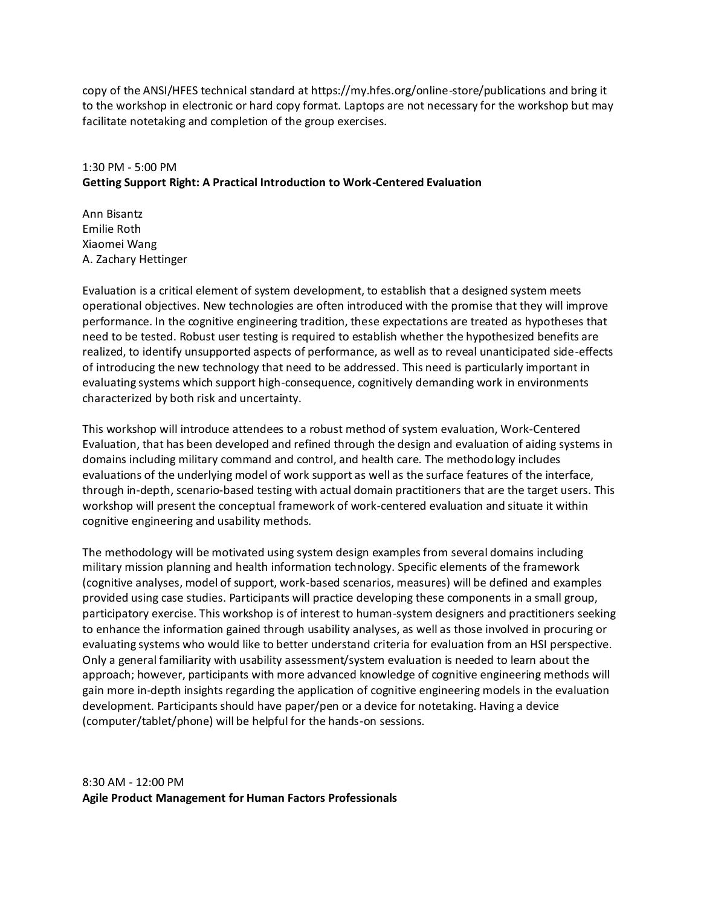copy of the ANSI/HFES technical standard at https://my.hfes.org/online-store/publications and bring it to the workshop in electronic or hard copy format. Laptops are not necessary for the workshop but may facilitate notetaking and completion of the group exercises.

## 1:30 PM - 5:00 PM **Getting Support Right: A Practical Introduction to Work-Centered Evaluation**

Ann Bisantz Emilie Roth Xiaomei Wang A. Zachary Hettinger

Evaluation is a critical element of system development, to establish that a designed system meets operational objectives. New technologies are often introduced with the promise that they will improve performance. In the cognitive engineering tradition, these expectations are treated as hypotheses that need to be tested. Robust user testing is required to establish whether the hypothesized benefits are realized, to identify unsupported aspects of performance, as well as to reveal unanticipated side-effects of introducing the new technology that need to be addressed. This need is particularly important in evaluating systems which support high-consequence, cognitively demanding work in environments characterized by both risk and uncertainty.

This workshop will introduce attendees to a robust method of system evaluation, Work-Centered Evaluation, that has been developed and refined through the design and evaluation of aiding systems in domains including military command and control, and health care. The methodology includes evaluations of the underlying model of work support as well as the surface features of the interface, through in-depth, scenario-based testing with actual domain practitioners that are the target users. This workshop will present the conceptual framework of work-centered evaluation and situate it within cognitive engineering and usability methods.

The methodology will be motivated using system design examples from several domains including military mission planning and health information technology. Specific elements of the framework (cognitive analyses, model of support, work-based scenarios, measures) will be defined and examples provided using case studies. Participants will practice developing these components in a small group, participatory exercise. This workshop is of interest to human-system designers and practitioners seeking to enhance the information gained through usability analyses, as well as those involved in procuring or evaluating systems who would like to better understand criteria for evaluation from an HSI perspective. Only a general familiarity with usability assessment/system evaluation is needed to learn about the approach; however, participants with more advanced knowledge of cognitive engineering methods will gain more in-depth insights regarding the application of cognitive engineering models in the evaluation development. Participants should have paper/pen or a device for notetaking. Having a device (computer/tablet/phone) will be helpful for the hands-on sessions.

8:30 AM - 12:00 PM **Agile Product Management for Human Factors Professionals**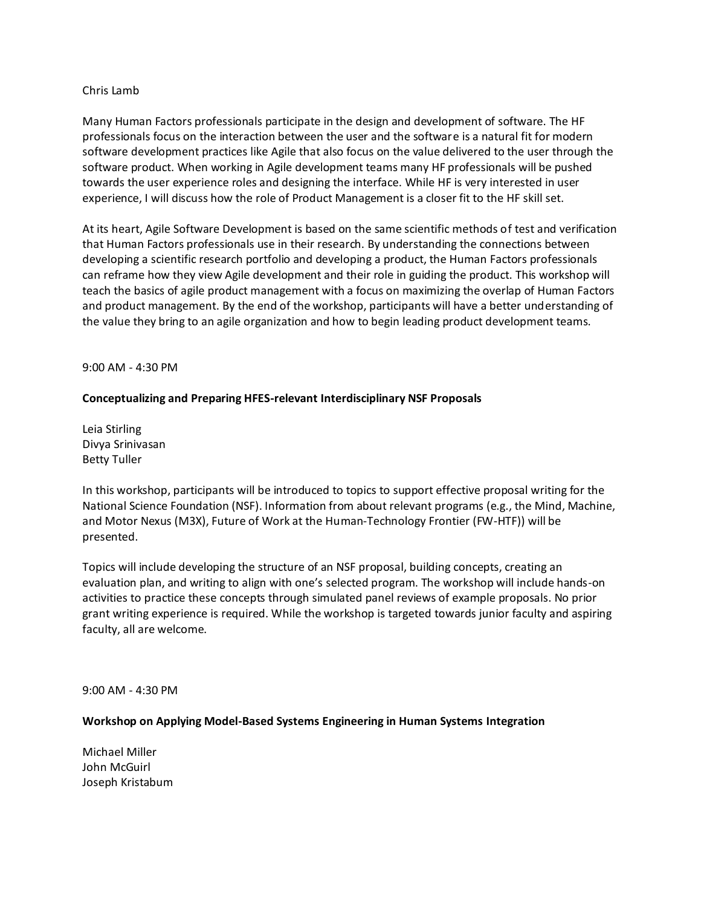### Chris Lamb

Many Human Factors professionals participate in the design and development of software. The HF professionals focus on the interaction between the user and the software is a natural fit for modern software development practices like Agile that also focus on the value delivered to the user through the software product. When working in Agile development teams many HF professionals will be pushed towards the user experience roles and designing the interface. While HF is very interested in user experience, I will discuss how the role of Product Management is a closer fit to the HF skill set.

At its heart, Agile Software Development is based on the same scientific methods of test and verification that Human Factors professionals use in their research. By understanding the connections between developing a scientific research portfolio and developing a product, the Human Factors professionals can reframe how they view Agile development and their role in guiding the product. This workshop will teach the basics of agile product management with a focus on maximizing the overlap of Human Factors and product management. By the end of the workshop, participants will have a better understanding of the value they bring to an agile organization and how to begin leading product development teams.

9:00 AM - 4:30 PM

## **Conceptualizing and Preparing HFES-relevant Interdisciplinary NSF Proposals**

Leia Stirling Divya Srinivasan Betty Tuller

In this workshop, participants will be introduced to topics to support effective proposal writing for the National Science Foundation (NSF). Information from about relevant programs (e.g., the Mind, Machine, and Motor Nexus (M3X), Future of Work at the Human-Technology Frontier (FW-HTF)) will be presented.

Topics will include developing the structure of an NSF proposal, building concepts, creating an evaluation plan, and writing to align with one's selected program. The workshop will include hands-on activities to practice these concepts through simulated panel reviews of example proposals. No prior grant writing experience is required. While the workshop is targeted towards junior faculty and aspiring faculty, all are welcome.

9:00 AM - 4:30 PM

#### **Workshop on Applying Model-Based Systems Engineering in Human Systems Integration**

Michael Miller John McGuirl Joseph Kristabum